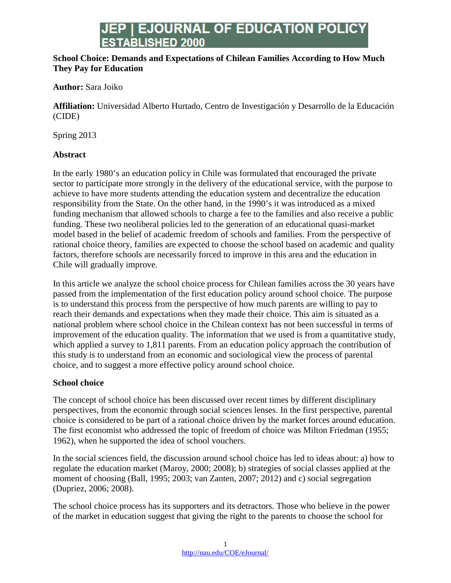# **EJOURNAL OF EDUCATION POLICY ESTABLISHED 2000**

### **School Choice: Demands and Expectations of Chilean Families According to How Much They Pay for Education**

### **Author:** Sara Joiko

**Affiliation:** Universidad Alberto Hurtado, Centro de Investigación y Desarrollo de la Educación (CIDE)

Spring 2013

### **Abstract**

In the early 1980's an education policy in Chile was formulated that encouraged the private sector to participate more strongly in the delivery of the educational service, with the purpose to achieve to have more students attending the education system and decentralize the education responsibility from the State. On the other hand, in the 1990's it was introduced as a mixed funding mechanism that allowed schools to charge a fee to the families and also receive a public funding. These two neoliberal policies led to the generation of an educational quasi-market model based in the belief of academic freedom of schools and families. From the perspective of rational choice theory, families are expected to choose the school based on academic and quality factors, therefore schools are necessarily forced to improve in this area and the education in Chile will gradually improve.

In this article we analyze the school choice process for Chilean families across the 30 years have passed from the implementation of the first education policy around school choice. The purpose is to understand this process from the perspective of how much parents are willing to pay to reach their demands and expectations when they made their choice. This aim is situated as a national problem where school choice in the Chilean context has not been successful in terms of improvement of the education quality. The information that we used is from a quantitative study, which applied a survey to 1,811 parents. From an education policy approach the contribution of this study is to understand from an economic and sociological view the process of parental choice, and to suggest a more effective policy around school choice.

### **School choice**

The concept of school choice has been discussed over recent times by different disciplinary perspectives, from the economic through social sciences lenses. In the first perspective, parental choice is considered to be part of a rational choice driven by the market forces around education. The first economist who addressed the topic of freedom of choice was Milton Friedman (1955; 1962), when he supported the idea of school vouchers.

In the social sciences field, the discussion around school choice has led to ideas about: a) how to regulate the education market (Maroy, 2000; 2008); b) strategies of social classes applied at the moment of choosing (Ball, 1995; 2003; van Zanten, 2007; 2012) and c) social segregation (Dupriez, 2006; 2008).

The school choice process has its supporters and its detractors. Those who believe in the power of the market in education suggest that giving the right to the parents to choose the school for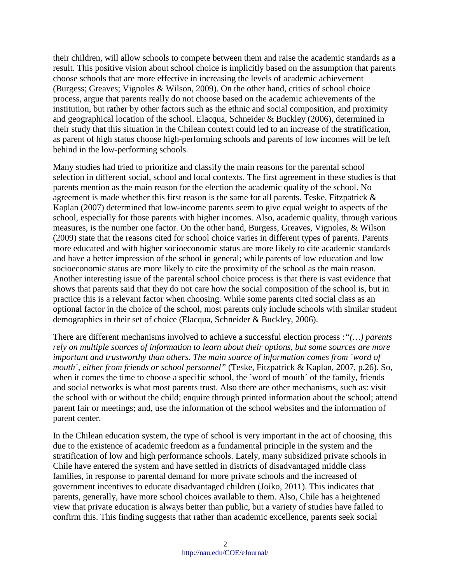their children, will allow schools to compete between them and raise the academic standards as a result. This positive vision about school choice is implicitly based on the assumption that parents choose schools that are more effective in increasing the levels of academic achievement (Burgess; Greaves; Vignoles & Wilson, 2009). On the other hand, critics of school choice process, argue that parents really do not choose based on the academic achievements of the institution, but rather by other factors such as the ethnic and social composition, and proximity and geographical location of the school. Elacqua, Schneider & Buckley (2006), determined in their study that this situation in the Chilean context could led to an increase of the stratification, as parent of high status choose high-performing schools and parents of low incomes will be left behind in the low-performing schools.

Many studies had tried to prioritize and classify the main reasons for the parental school selection in different social, school and local contexts. The first agreement in these studies is that parents mention as the main reason for the election the academic quality of the school. No agreement is made whether this first reason is the same for all parents. Teske, Fitzpatrick  $\&$ Kaplan (2007) determined that low-income parents seem to give equal weight to aspects of the school, especially for those parents with higher incomes. Also, academic quality, through various measures, is the number one factor. On the other hand, Burgess, Greaves, Vignoles, & Wilson (2009) state that the reasons cited for school choice varies in different types of parents. Parents more educated and with higher socioeconomic status are more likely to cite academic standards and have a better impression of the school in general; while parents of low education and low socioeconomic status are more likely to cite the proximity of the school as the main reason. Another interesting issue of the parental school choice process is that there is vast evidence that shows that parents said that they do not care how the social composition of the school is, but in practice this is a relevant factor when choosing. While some parents cited social class as an optional factor in the choice of the school, most parents only include schools with similar student demographics in their set of choice (Elacqua, Schneider & Buckley, 2006).

There are different mechanisms involved to achieve a successful election process :*"(…) parents rely on multiple sources of information to learn about their options, but some sources are more important and trustworthy than others. The main source of information comes from 'word of mouth´, either from friends or school personnel"* (Teske, Fitzpatrick & Kaplan, 2007, p.26). So, when it comes the time to choose a specific school, the 'word of mouth' of the family, friends and social networks is what most parents trust. Also there are other mechanisms, such as: visit the school with or without the child; enquire through printed information about the school; attend parent fair or meetings; and, use the information of the school websites and the information of parent center.

In the Chilean education system, the type of school is very important in the act of choosing, this due to the existence of academic freedom as a fundamental principle in the system and the stratification of low and high performance schools. Lately, many subsidized private schools in Chile have entered the system and have settled in districts of disadvantaged middle class families, in response to parental demand for more private schools and the increased of government incentives to educate disadvantaged children (Joiko, 2011). This indicates that parents, generally, have more school choices available to them. Also, Chile has a heightened view that private education is always better than public, but a variety of studies have failed to confirm this. This finding suggests that rather than academic excellence, parents seek social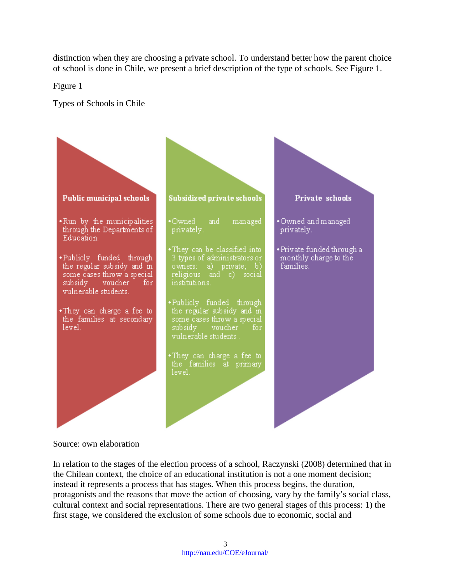distinction when they are choosing a private school. To understand better how the parent choice of school is done in Chile, we present a brief description of the type of schools. See Figure 1.

Figure 1

Types of Schools in Chile



Source: own elaboration

In relation to the stages of the election process of a school, Raczynski (2008) determined that in the Chilean context, the choice of an educational institution is not a one moment decision; instead it represents a process that has stages. When this process begins, the duration, protagonists and the reasons that move the action of choosing, vary by the family's social class, cultural context and social representations. There are two general stages of this process: 1) the first stage, we considered the exclusion of some schools due to economic, social and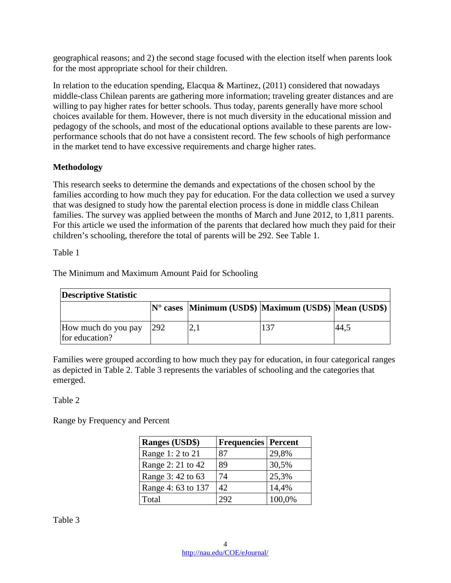geographical reasons; and 2) the second stage focused with the election itself when parents look for the most appropriate school for their children.

In relation to the education spending, Elacqua & Martinez, (2011) considered that nowadays middle-class Chilean parents are gathering more information; traveling greater distances and are willing to pay higher rates for better schools. Thus today, parents generally have more school choices available for them. However, there is not much diversity in the educational mission and pedagogy of the schools, and most of the educational options available to these parents are lowperformance schools that do not have a consistent record. The few schools of high performance in the market tend to have excessive requirements and charge higher rates.

### **Methodology**

This research seeks to determine the demands and expectations of the chosen school by the families according to how much they pay for education. For the data collection we used a survey that was designed to study how the parental election process is done in middle class Chilean families. The survey was applied between the months of March and June 2012, to 1,811 parents. For this article we used the information of the parents that declared how much they paid for their children's schooling, therefore the total of parents will be 292. See Table 1.

Table 1

The Minimum and Maximum Amount Paid for Schooling

| <b>Descriptive Statistic</b>          |            |  |                                                                    |      |  |  |
|---------------------------------------|------------|--|--------------------------------------------------------------------|------|--|--|
|                                       |            |  | $ N^{\circ}$ cases  Minimum (USD\$)  Maximum (USD\$)  Mean (USD\$) |      |  |  |
| How much do you pay<br>for education? | <b>292</b> |  | 137                                                                | 44,3 |  |  |

Families were grouped according to how much they pay for education, in four categorical ranges as depicted in Table 2. Table 3 represents the variables of schooling and the categories that emerged.

## Table 2

Range by Frequency and Percent

| <b>Ranges (USD\$)</b> | <b>Frequencies</b> Percent |        |
|-----------------------|----------------------------|--------|
| Range 1: 2 to 21      | 87                         | 29,8%  |
| Range 2: 21 to 42     | 89                         | 30,5%  |
| Range 3: 42 to 63     | 74                         | 25,3%  |
| Range 4: 63 to 137    | 42                         | 14,4%  |
| Total                 | 292                        | 100,0% |

Table 3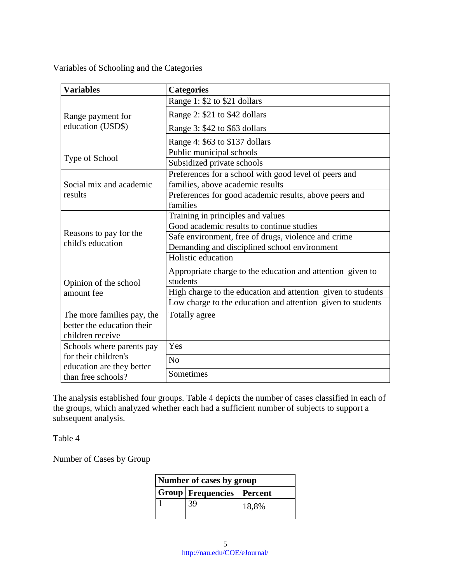Variables of Schooling and the Categories

| <b>Variables</b>                                  | <b>Categories</b>                                                                         |  |
|---------------------------------------------------|-------------------------------------------------------------------------------------------|--|
|                                                   | Range 1: \$2 to \$21 dollars                                                              |  |
| Range payment for                                 | Range 2: \$21 to \$42 dollars                                                             |  |
| education (USD\$)                                 | Range 3: \$42 to \$63 dollars                                                             |  |
|                                                   | Range 4: \$63 to \$137 dollars                                                            |  |
|                                                   | Public municipal schools                                                                  |  |
| Type of School                                    | Subsidized private schools                                                                |  |
| Social mix and academic                           | Preferences for a school with good level of peers and<br>families, above academic results |  |
| results                                           | Preferences for good academic results, above peers and<br>families                        |  |
|                                                   | Training in principles and values                                                         |  |
|                                                   | Good academic results to continue studies                                                 |  |
| Reasons to pay for the                            | Safe environment, free of drugs, violence and crime                                       |  |
| child's education                                 | Demanding and disciplined school environment                                              |  |
|                                                   | Holistic education                                                                        |  |
| Opinion of the school                             | Appropriate charge to the education and attention given to<br>students                    |  |
| amount fee                                        | High charge to the education and attention given to students                              |  |
|                                                   | Low charge to the education and attention given to students                               |  |
| The more families pay, the                        | Totally agree                                                                             |  |
| better the education their                        |                                                                                           |  |
| children receive                                  |                                                                                           |  |
| Schools where parents pay                         | Yes                                                                                       |  |
| for their children's<br>education are they better | N <sub>o</sub>                                                                            |  |
| than free schools?                                | Sometimes                                                                                 |  |

The analysis established four groups. Table 4 depicts the number of cases classified in each of the groups, which analyzed whether each had a sufficient number of subjects to support a subsequent analysis.

Table 4

Number of Cases by Group

| Number of cases by group |                               |       |  |
|--------------------------|-------------------------------|-------|--|
|                          | Group   Frequencies   Percent |       |  |
|                          | 39                            | 18,8% |  |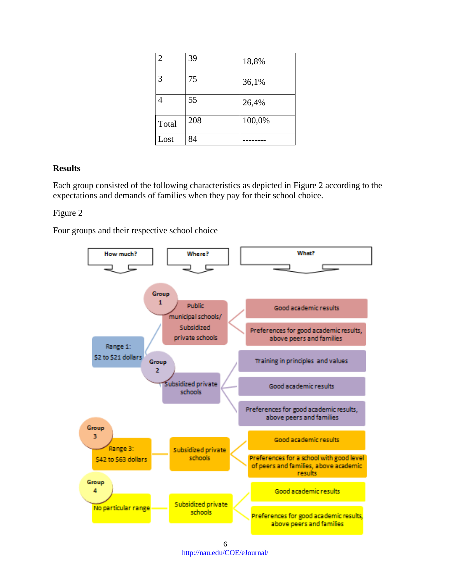| $\overline{2}$ | 39  | 18,8%  |
|----------------|-----|--------|
| 3              | 75  | 36,1%  |
| 4              | 55  | 26,4%  |
| Total          | 208 | 100,0% |
| Lost           | 84  |        |

#### **Results**

Each group consisted of the following characteristics as depicted in Figure 2 according to the expectations and demands of families when they pay for their school choice.

### Figure 2

Four groups and their respective school choice



6 <http://nau.edu/COE/eJournal/>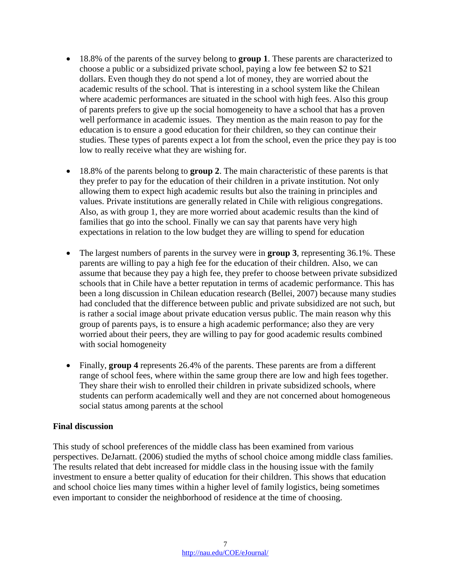- 18.8% of the parents of the survey belong to **group 1**. These parents are characterized to choose a public or a subsidized private school, paying a low fee between \$2 to \$21 dollars. Even though they do not spend a lot of money, they are worried about the academic results of the school. That is interesting in a school system like the Chilean where academic performances are situated in the school with high fees. Also this group of parents prefers to give up the social homogeneity to have a school that has a proven well performance in academic issues. They mention as the main reason to pay for the education is to ensure a good education for their children, so they can continue their studies. These types of parents expect a lot from the school, even the price they pay is too low to really receive what they are wishing for.
- 18.8% of the parents belong to **group 2**. The main characteristic of these parents is that they prefer to pay for the education of their children in a private institution. Not only allowing them to expect high academic results but also the training in principles and values. Private institutions are generally related in Chile with religious congregations. Also, as with group 1, they are more worried about academic results than the kind of families that go into the school. Finally we can say that parents have very high expectations in relation to the low budget they are willing to spend for education
- The largest numbers of parents in the survey were in **group 3**, representing 36.1%. These parents are willing to pay a high fee for the education of their children. Also, we can assume that because they pay a high fee, they prefer to choose between private subsidized schools that in Chile have a better reputation in terms of academic performance. This has been a long discussion in Chilean education research (Bellei, 2007) because many studies had concluded that the difference between public and private subsidized are not such, but is rather a social image about private education versus public. The main reason why this group of parents pays, is to ensure a high academic performance; also they are very worried about their peers, they are willing to pay for good academic results combined with social homogeneity
- Finally, **group 4** represents 26.4% of the parents. These parents are from a different range of school fees, where within the same group there are low and high fees together. They share their wish to enrolled their children in private subsidized schools, where students can perform academically well and they are not concerned about homogeneous social status among parents at the school

### **Final discussion**

This study of school preferences of the middle class has been examined from various perspectives. DeJarnatt. (2006) studied the myths of school choice among middle class families. The results related that debt increased for middle class in the housing issue with the family investment to ensure a better quality of education for their children. This shows that education and school choice lies many times within a higher level of family logistics, being sometimes even important to consider the neighborhood of residence at the time of choosing.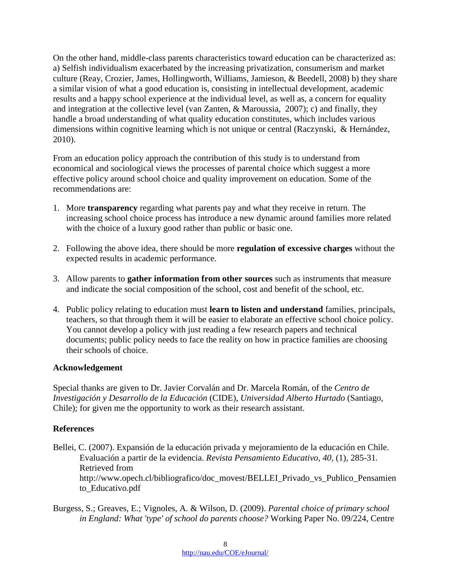On the other hand, middle-class parents characteristics toward education can be characterized as: a) Selfish individualism exacerbated by the increasing privatization, consumerism and market culture (Reay, Crozier, James, Hollingworth, Williams, Jamieson, & Beedell, 2008) b) they share a similar vision of what a good education is, consisting in intellectual development, academic results and a happy school experience at the individual level, as well as, a concern for equality and integration at the collective level (van Zanten, & Maroussia, 2007); c) and finally, they handle a broad understanding of what quality education constitutes, which includes various dimensions within cognitive learning which is not unique or central (Raczynski, & Hernández, 2010).

From an education policy approach the contribution of this study is to understand from economical and sociological views the processes of parental choice which suggest a more effective policy around school choice and quality improvement on education. Some of the recommendations are:

- 1. More **transparency** regarding what parents pay and what they receive in return. The increasing school choice process has introduce a new dynamic around families more related with the choice of a luxury good rather than public or basic one.
- 2. Following the above idea, there should be more **regulation of excessive charges** without the expected results in academic performance.
- 3. Allow parents to **gather information from other sources** such as instruments that measure and indicate the social composition of the school, cost and benefit of the school, etc.
- 4. Public policy relating to education must **learn to listen and understand** families, principals, teachers, so that through them it will be easier to elaborate an effective school choice policy. You cannot develop a policy with just reading a few research papers and technical documents; public policy needs to face the reality on how in practice families are choosing their schools of choice.

### **Acknowledgement**

Special thanks are given to Dr. Javier Corvalán and Dr. Marcela Román, of the *Centro de Investigación y Desarrollo de la Educación* (CIDE), *Universidad Alberto Hurtado* (Santiago, Chile); for given me the opportunity to work as their research assistant.

### **References**

- Bellei, C. (2007). Expansión de la educación privada y mejoramiento de la educación en Chile. Evaluación a partir de la evidencia. *Revista Pensamiento Educativo*, *40,* (1), 285-31*.* Retrieved from [http://www.opech.cl/bibliografico/doc\\_movest/BELLEI\\_Privado\\_vs\\_Publico\\_Pensamien](http://www.opech.cl/bibliografico/doc_movest/BELLEI_Privado_vs_Publico_Pensamiento_Educativo.pdf) [to\\_Educativo.pdf](http://www.opech.cl/bibliografico/doc_movest/BELLEI_Privado_vs_Publico_Pensamiento_Educativo.pdf)
- Burgess, S.; Greaves, E.; Vignoles, A. & Wilson, D. (2009). *Parental choice of primary school in England: What 'type' of school do parents choose?* Working Paper No. 09/224, Centre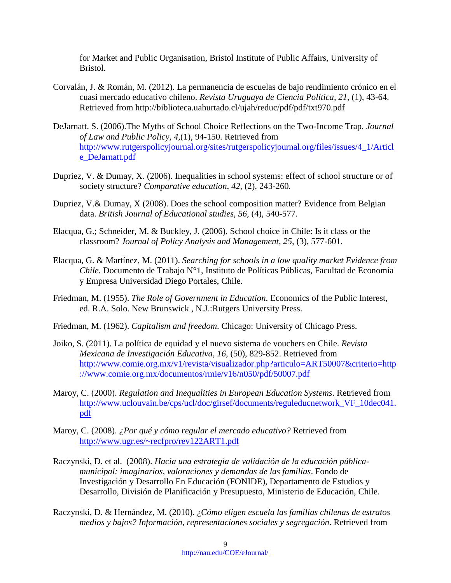for Market and Public Organisation, Bristol Institute of Public Affairs, University of Bristol.

- Corvalán, J. & Román, M. (2012). La permanencia de escuelas de bajo rendimiento crónico en el cuasi mercado educativo chileno. *Revista Uruguaya de Ciencia Política, 21,* (1)*,* 43-64. Retrieved from http://biblioteca.uahurtado.cl/ujah/reduc/pdf/pdf/txt970.pdf
- DeJarnatt. S. (2006).The Myths of School Choice Reflections on the Two-Income Trap. *Journal of Law and Public Policy, 4,*(1)*,* 94-150. Retrieved from [http://www.rutgerspolicyjournal.org/sites/rutgerspolicyjournal.org/files/issues/4\\_1/Articl](http://www.rutgerspolicyjournal.org/sites/rutgerspolicyjournal.org/files/issues/4_1/Article_DeJarnatt.pdf) [e\\_DeJarnatt.pdf](http://www.rutgerspolicyjournal.org/sites/rutgerspolicyjournal.org/files/issues/4_1/Article_DeJarnatt.pdf)
- Dupriez, V. & Dumay, X. (2006). Inequalities in school systems: effect of school structure or of society structure? *Comparative education*, *42,* (2)*,* 243-260*.*
- Dupriez, V.& Dumay, X (2008). Does the school composition matter? Evidence from Belgian data. *British Journal of Educational studies*, *56,* (4), 540-577.
- Elacqua, G.; Schneider, M. & Buckley, J. (2006). School choice in Chile: Is it class or the classroom? *Journal of Policy Analysis and Management, 25,* (3), 577-601.
- Elacqua, G. & Martínez, M. (2011). *Searching for schools in a low quality market Evidence from Chile.* Documento de Trabajo N°1, Instituto de Políticas Públicas, Facultad de Economía y Empresa Universidad Diego Portales, Chile.
- Friedman, M. (1955). *The Role of Government in Education*. Economics of the Public Interest, ed. R.A. Solo. New Brunswick , N.J.:Rutgers University Press.
- Friedman, M. (1962). *Capitalism and freedom*. Chicago: University of Chicago Press.
- Joiko, S. (2011). La política de equidad y el nuevo sistema de vouchers en Chile. *Revista Mexicana de Investigación Educativa*, *16,* (50), 829-852. Retrieved from [http://www.comie.org.mx/v1/revista/visualizador.php?articulo=ART50007&criterio=http](http://www.comie.org.mx/v1/revista/visualizador.php?articulo=ART50007&criterio=http://www.comie.org.mx/documentos/rmie/v16/n050/pdf/50007.pdf) [://www.comie.org.mx/documentos/rmie/v16/n050/pdf/50007.pdf](http://www.comie.org.mx/v1/revista/visualizador.php?articulo=ART50007&criterio=http://www.comie.org.mx/documentos/rmie/v16/n050/pdf/50007.pdf)
- Maroy, C. (2000). *Regulation and Inequalities in European Education Systems*. Retrieved from [http://www.uclouvain.be/cps/ucl/doc/girsef/documents/reguleducnetwork\\_VF\\_10dec041.](http://www.uclouvain.be/cps/ucl/doc/girsef/documents/reguleducnetwork_VF_10dec041.pdf) [pdf](http://www.uclouvain.be/cps/ucl/doc/girsef/documents/reguleducnetwork_VF_10dec041.pdf)
- Maroy, C. (2008). *¿Por qué y cómo regular el mercado educativo?* Retrieved from <http://www.ugr.es/~recfpro/rev122ART1.pdf>
- Raczynski, D. et al. (2008). *Hacia una estrategia de validación de la educación públicamunicipal: imaginarios, valoraciones y demandas de las familias*. Fondo de Investigación y Desarrollo En Educación (FONIDE), Departamento de Estudios y Desarrollo, División de Planificación y Presupuesto, Ministerio de Educación, Chile.
- Raczynski, D. & Hernández, M. (2010). ¿*Cómo eligen escuela las familias chilenas de estratos medios y bajos? Información, representaciones sociales y segregación*. Retrieved from